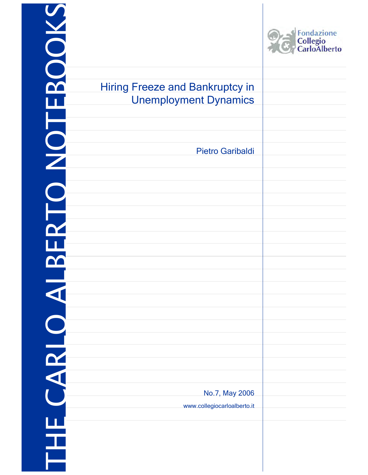|                                                                        | Fondazione<br>Collegio<br>CarloAlberto |
|------------------------------------------------------------------------|----------------------------------------|
| <b>Hiring Freeze and Bankruptcy in</b><br><b>Unemployment Dynamics</b> |                                        |
|                                                                        |                                        |
| <b>Pietro Garibaldi</b>                                                |                                        |
|                                                                        |                                        |
|                                                                        |                                        |
|                                                                        |                                        |
|                                                                        |                                        |
|                                                                        |                                        |
|                                                                        |                                        |
|                                                                        |                                        |
|                                                                        |                                        |
|                                                                        |                                        |
|                                                                        |                                        |
|                                                                        |                                        |
|                                                                        |                                        |
| No.7, May 2006                                                         |                                        |
| www.collegiocarloalberto.it                                            |                                        |
|                                                                        |                                        |
|                                                                        |                                        |
|                                                                        |                                        |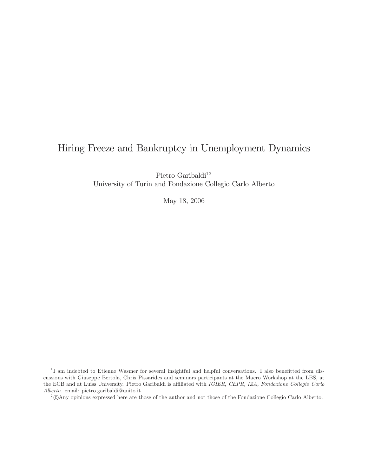# Hiring Freeze and Bankruptcy in Unemployment Dynamics

Pietro Garibaldi $^{12}$ University of Turin and Fondazione Collegio Carlo Alberto

May 18, 2006

<sup>1</sup>I am indebted to Etienne Wasmer for several insightful and helpful conversations. I also benefitted from discussions with Giuseppe Bertola, Chris Pissarides and seminars participants at the Macro Workshop at the LBS, at the ECB and at Luiss University. Pietro Garibaldi is affiliated with IGIER, CEPR, IZA, Fondazione Collegio Carlo Alberto. email: pietro.garibaldi@unito.it

<sup>2</sup>°<sup>c</sup> Any opinions expressed here are those of the author and not those of the Fondazione Collegio Carlo Alberto.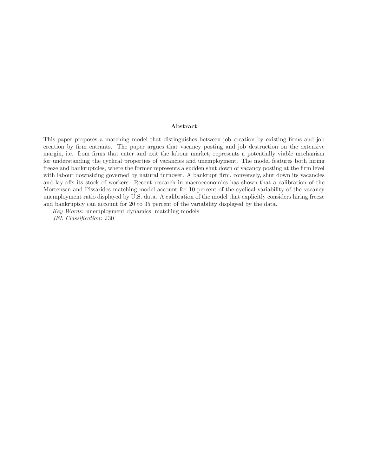#### Abstract

This paper proposes a matching model that distinguishes between job creation by existing firms and job creation by firm entrants. The paper argues that vacancy posting and job destruction on the extensive margin, i.e. from firms that enter and exit the labour market, represents a potentially viable mechanism for understanding the cyclical properties of vacancies and unemployment. The model features both hiring freeze and bankruptcies, where the former represents a sudden shut down of vacancy posting at the firm level with labour downsizing governed by natural turnover. A bankrupt firm, conversely, shut down its vacancies and lay offs its stock of workers. Recent research in macroeconomics has shown that a calibration of the Mortensen and Pissarides matching model account for 10 percent of the cyclical variability of the vacancy unemployment ratio displayed by U.S. data. A calibration of the model that explicitly considers hiring freeze and bankruptcy can account for 20 to 35 percent of the variability displayed by the data.

Key Words: unemployment dynamics, matching models

JEL Classification: J30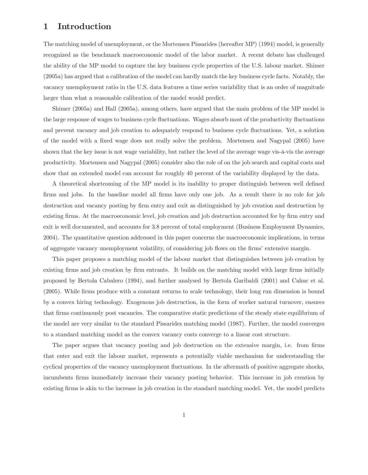# 1 Introduction

The matching model of unemployment, or the Mortensen Pissarides (hereafter MP) (1994) model, is generally recognized as the benchmark macroeconomic model of the labor market. A recent debate has challenged the ability of the MP model to capture the key business cycle properties of the U.S. labour market. Shimer (2005a) has argued that a calibration of the model can hardly match the key business cycle facts. Notably, the vacancy unemployment ratio in the U.S. data features a time series variability that is an order of magnitude larger than what a reasonable calibration of the model would predict.

Shimer (2005a) and Hall (2005a), among others, have argued that the main problem of the MP model is the large response of wages to business cycle fluctuations. Wages absorb most of the productivity fluctuations and prevent vacancy and job creation to adequately respond to business cycle fluctuations. Yet, a solution of the model with a fixed wage does not really solve the problem. Mortensen and Nagypal (2005) have shown that the key issue is not wage variability, but rather the level of the average wage vis-à-vis the average productivity. Mortensen and Nagypal (2005) consider also the role of on the job search and capital costs and show that an extended model can account for roughly 40 percent of the variability displayed by the data.

A theoretical shortcoming of the MP model is its inability to proper distinguish between well defined firms and jobs. In the baseline model all firms have only one job. As a result there is no role for job destruction and vacancy posting by firm entry and exit as distinguished by job creation and destruction by existing firms. At the macroeconomic level, job creation and job destruction accounted for by firm entry and exit is well documented, and accounts for 3.8 percent of total employment (Business Employment Dynamics, 2004). The quantitative question addressed in this paper concerns the macroeconomic implications, in terms of aggregate vacancy unemployment volatility, of considering job flows on the firms' extensive margin.

This paper proposes a matching model of the labour market that distinguishes between job creation by existing firms and job creation by firm entrants. It builds on the matching model with large firms initially proposed by Bertola Cabalero (1994), and further analysed by Bertola Garibaldi (2001) and Cahuc et al. (2005). While firms produce with a constant returns to scale technology, their long run dimension is bound by a convex hiring technology. Exogenous job destruction, in the form of worker natural turnover, ensures that firms continuously post vacancies. The comparative static predictions of the steady state equilibrium of the model are very similar to the standard Pissarides matching model (1987). Further, the model converges to a standard matching model as the convex vacancy costs converge to a linear cost structure.

The paper argues that vacancy posting and job destruction on the extensive margin, i.e. from firms that enter and exit the labour market, represents a potentially viable mechanism for understanding the cyclical properties of the vacancy unemployment fluctuations. In the aftermath of positive aggregate shocks, incumbents firms immediately increase their vacancy posting behavior. This increase in job creation by existing firms is akin to the increase in job creation in the standard matching model. Yet, the model predicts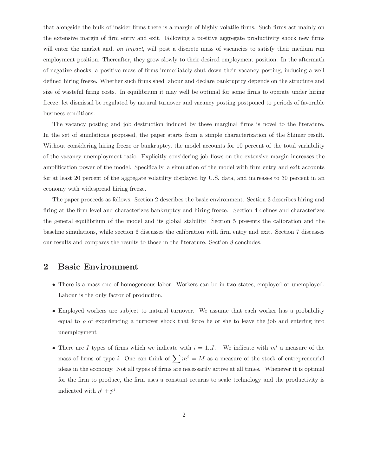that alongside the bulk of insider firms there is a margin of highly volatile firms. Such firms act mainly on the extensive margin of firm entry and exit. Following a positive aggregate productivity shock new firms will enter the market and, on *impact*, will post a discrete mass of vacancies to satisfy their medium run employment position. Thereafter, they grow slowly to their desired employment position. In the aftermath of negative shocks, a positive mass of firms immediately shut down their vacancy posting, inducing a well defined hiring freeze. Whether such firms shed labour and declare bankruptcy depends on the structure and size of wasteful firing costs. In equilibrium it may well be optimal for some firms to operate under hiring freeze, let dismissal be regulated by natural turnover and vacancy posting postponed to periods of favorable business conditions.

The vacancy posting and job destruction induced by these marginal firms is novel to the literature. In the set of simulations proposed, the paper starts from a simple characterization of the Shimer result. Without considering hiring freeze or bankruptcy, the model accounts for 10 percent of the total variability of the vacancy unemployment ratio. Explicitly considering job flows on the extensive margin increases the amplification power of the model. Specifically, a simulation of the model with firm entry and exit accounts for at least 20 percent of the aggregate volatility displayed by U.S. data, and increases to 30 percent in an economy with widespread hiring freeze.

The paper proceeds as follows. Section 2 describes the basic environment. Section 3 describes hiring and firing at the firm level and characterizes bankruptcy and hiring freeze. Section 4 defines and characterizes the general equilibrium of the model and its global stability. Section 5 presents the calibration and the baseline simulations, while section 6 discusses the calibration with firm entry and exit. Section 7 discusses our results and compares the results to those in the literature. Section 8 concludes.

## 2 Basic Environment

- There is a mass one of homogeneous labor. Workers can be in two states, employed or unemployed. Labour is the only factor of production.
- Employed workers are subject to natural turnover. We assume that each worker has a probability equal to  $\rho$  of experiencing a turnover shock that force he or she to leave the job and entering into unemployment
- There are I types of firms which we indicate with  $i = 1..I$ . We indicate with  $m^{i}$  a measure of the mass of firms of type i. One can think of  $\sum m^i = M$  as a measure of the stock of entrepreneurial ideas in the economy. Not all types of firms are necessarily active at all times. Whenever it is optimal for the firm to produce, the firm uses a constant returns to scale technology and the productivity is indicated with  $\eta^i + p^j$ .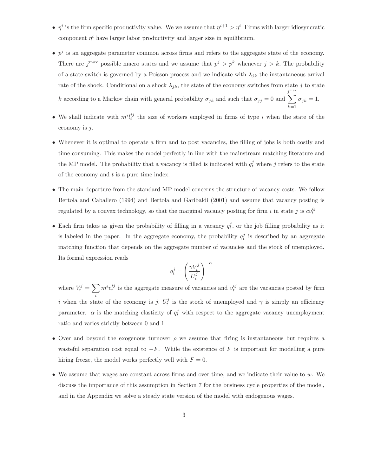- $\eta^i$  is the firm specific productivity value. We we assume that  $\eta^{i+1} > \eta^i$  Firms with larger idiosyncratic component  $\eta^i$  have larger labor productivity and larger size in equilibrium.
- $p^j$  is an aggregate parameter common across firms and refers to the aggregate state of the economy. There are  $j^{\text{max}}$  possible macro states and we assume that  $p^j > p^k$  whenever  $j > k$ . The probability of a state switch is governed by a Poisson process and we indicate with  $\lambda_{jk}$  the instantaneous arrival rate of the shock. Conditional on a shock  $\lambda_{jk}$ , the state of the economy switches from state j to state k according to a Markov chain with general probability  $\sigma_{jk}$  and such that  $\sigma_{jj} = 0$  and  $\sum^{\text{max}}$  $\sigma_{jk} = 1.$
- We shall indicate with  $m^i l_t^{ij}$  the size of workers employed in firms of type i when the state of the economy is  $j$ .

 $k=1$ 

- Whenever it is optimal to operate a firm and to post vacancies, the filling of jobs is both costly and time consuming. This makes the model perfectly in line with the mainstream matching literature and the MP model. The probability that a vacancy is filled is indicated with  $q_t^j$  where j refers to the state of the economy and  $t$  is a pure time index.
- The main departure from the standard MP model concerns the structure of vacancy costs. We follow Bertola and Caballero (1994) and Bertola and Garibaldi (2001) and assume that vacancy posting is regulated by a convex technology, so that the marginal vacancy posting for firm i in state j is  $cv_t^{ij}$
- Each firm takes as given the probability of filling in a vacancy  $q_t^j$ , or the job filling probability as it is labeled in the paper. In the aggregate economy, the probability  $q_t^j$  is described by an aggregate matching function that depends on the aggregate number of vacancies and the stock of unemployed. Its formal expression reads  $\cdot \alpha$

$$
q_t^j = \left(\frac{\gamma V_t^j}{U_t^j}\right)^-
$$

where  $V_t^j = \sum$ i  $m^{i}v_{t}^{ij}$  is the aggregate measure of vacancies and  $v_{t}^{ij}$  are the vacancies posted by firm i when the state of the economy is j.  $U_t^j$  is the stock of unemployed and  $\gamma$  is simply an efficiency parameter.  $\alpha$  is the matching elasticity of  $q_t^j$  with respect to the aggregate vacancy unemployment ratio and varies strictly between 0 and 1

- Over and beyond the exogenous turnover  $\rho$  we assume that firing is instantaneous but requires a wasteful separation cost equal to  $-F$ . While the existence of F is important for modelling a pure hiring freeze, the model works perfectly well with  $F = 0$ .
- We assume that wages are constant across firms and over time, and we indicate their value to  $w$ . We discuss the importance of this assumption in Section 7 for the business cycle properties of the model, and in the Appendix we solve a steady state version of the model with endogenous wages.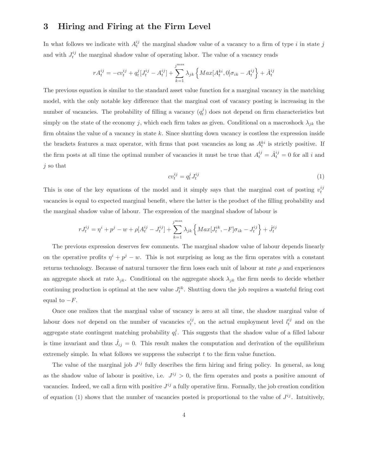## 3 Hiring and Firing at the Firm Level

In what follows we indicate with  $A_t^{ij}$  the marginal shadow value of a vacancy to a firm of type i in state j and with  $J_t^{ij}$  the marginal shadow value of operating labor. The value of a vacancy reads

$$
rA_t^{ij} = -cv_t^{ij} + q_t^j[J_t^{ij} - A_t^{ij}] + \sum_{k=1}^{j^{\text{max}}} \lambda_{jk} \left\{ Max[A_t^{ki}, 0] \sigma_{ik} - A_t^{ij} \right\} + \dot{A}_t^{ij}
$$

The previous equation is similar to the standard asset value function for a marginal vacancy in the matching model, with the only notable key difference that the marginal cost of vacancy posting is increasing in the number of vacancies. The probability of filling a vacancy  $(q_t^j)$  does not depend on firm characteristics but simply on the state of the economy j, which each firm takes as given. Conditional on a macroshock  $\lambda_{ik}$  the firm obtains the value of a vacancy in state  $k$ . Since shutting down vacancy is costless the expression inside the brackets features a max operator, with firms that post vacancies as long as  $A_t^{ki}$  is strictly positive. If the firm posts at all time the optimal number of vacancies it must be true that  $A_t^{ij} = \dot{A}_t^{ij} = 0$  for all i and j so that

$$
cv_t^{ij} = q_t^j J_t^{ij} \tag{1}
$$

This is one of the key equations of the model and it simply says that the marginal cost of posting  $v_t^{ij}$ vacancies is equal to expected marginal benefit, where the latter is the product of the filling probability and the marginal shadow value of labour. The expression of the marginal shadow of labour is

$$
rJ_t^{ij} = \eta^i + p^j - w + \rho[A_t^{ij} - J_t^{ij}] + \sum_{k=1}^{j^{\text{max}}} \lambda_{jk} \left\{ Max[J_t^{ik}, -F] \sigma_{ik} - J_t^{ij} \right\} + J_t^{ij}
$$

The previous expression deserves few comments. The marginal shadow value of labour depends linearly on the operative profits  $\eta^{i} + p^{j} - w$ . This is not surprising as long as the firm operates with a constant returns technology. Because of natural turnover the firm loses each unit of labour at rate  $\rho$  and experiences an aggregate shock at rate  $\lambda_{jk}$ . Conditional on the aggregate shock  $\lambda_{jk}$  the firm needs to decide whether continuing production is optimal at the new value  $J_t^{ik}$ . Shutting down the job requires a wasteful firing cost equal to  $-F$ .

Once one realizes that the marginal value of vacancy is zero at all time, the shadow marginal value of labour does not depend on the number of vacancies  $v_t^{ij}$ , on the actual employment level  $l_t^{ij}$  and on the aggregate state contingent matching probability  $q_t^j$ . This suggests that the shadow value of a filled labour is time invariant and thus  $\dot{J}_{ij} = 0$ . This result makes the computation and derivation of the equilibrium extremely simple. In what follows we suppress the subscript  $t$  to the firm value function.

The value of the marginal job  $J^{ij}$  fully describes the firm hiring and firing policy. In general, as long as the shadow value of labour is positive, i.e.  $J^{ij} > 0$ , the firm operates and posts a positive amount of vacancies. Indeed, we call a firm with positive  $J^{ij}$  a fully operative firm. Formally, the job creation condition of equation (1) shows that the number of vacancies posted is proportional to the value of  $J^{ij}$ . Intuitively,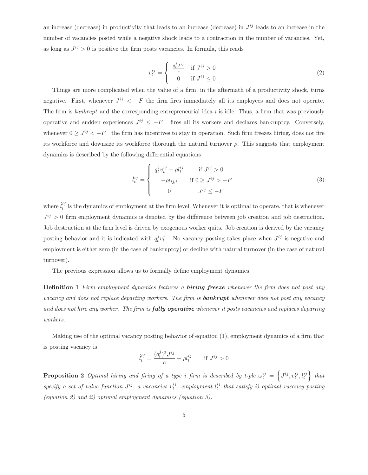an increase (decrease) in productivity that leads to an increase (decrease) in  $J^{ij}$  leads to an increase in the number of vacancies posted while a negative shock leads to a contraction in the number of vacancies. Yet, as long as  $J^{ij} > 0$  is positive the firm posts vacancies. In formula, this reads

$$
v_t^{ij} = \begin{cases} \frac{q_t^j J^{ij}}{c} & \text{if } J^{ij} > 0\\ 0 & \text{if } J^{ij} \le 0 \end{cases}
$$
 (2)

Things are more complicated when the value of a firm, in the aftermath of a productivity shock, turns negative. First, whenever  $J^{ij} < -F$  the firm fires immediately all its employees and does not operate. The firm is *bankrupt* and the corresponding entrepreneurial idea  $i$  is idle. Thus, a firm that was previously operative and sudden experiences  $J^{ij} \leq -F$  fires all its workers and declares bankruptcy. Conversely, whenever  $0 \geq J^{ij} < -F$  the firm has incentives to stay in operation. Such firm freezes hiring, does not fire its workforce and downsize its workforce thorough the natural turnover  $\rho$ . This suggests that employment dynamics is described by the following differential equations

$$
\dot{l}_t^{ij} = \begin{cases}\n q_t^j v_t^{ij} - \rho l_t^{ij} & \text{if } J^{ij} > 0 \\
-\rho l_{ij,t} & \text{if } 0 \ge J^{ij} > -F \\
0 & J^{ij} \le -F\n\end{cases}
$$
\n(3)

where  $\ddot{l}^{ij}_t$  is the dynamics of employment at the firm level. Whenever it is optimal to operate, that is whenever  $J^{ij} > 0$  firm employment dynamics is denoted by the difference between job creation and job destruction. Job destruction at the firm level is driven by exogenous worker quits. Job creation is derived by the vacancy posting behavior and it is indicated with  $q_t^j v_t^j$ . No vacancy posting takes place when  $J^{ij}$  is negative and employment is either zero (in the case of bankruptcy) or decline with natural turnover (in the case of natural turnover).

The previous expression allows us to formally define employment dynamics.

**Definition 1** Firm employment dynamics features a **hiring freeze** whenever the firm does not post any vacancy and does not replace departing workers. The firm is **bankrupt** whenever does not post any vacancy and does not hire any worker. The firm is **fully operative** whenever it posts vacancies and replaces departing workers.

Making use of the optimal vacancy posting behavior of equation (1), employment dynamics of a firm that is posting vacancy is

$$
\dot{l}_t^{ij} = \frac{(q_t^j)^2 J^{ij}}{c} - \rho l_t^{ij} \quad \text{if } J^{ij} > 0
$$

**Proposition 2** Optimal hiring and firing of a type i firm is described by t-ple  $\omega_t^{ij} = \left\{ J^{ij}, v_t^{ij}, l_t^{ij} \right\}$  that specify a set of value function  $J^{ij}$ , a vacancies  $v_t^{ij}$ , employment  $l_t^{ij}$  that satisfy i) optimal vacancy posting (equation 2) and ii) optimal employment dynamics (equation 3).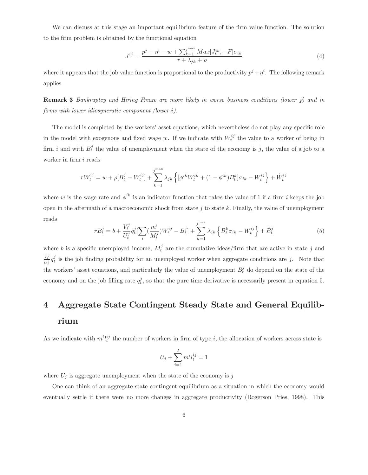We can discuss at this stage an important equilibrium feature of the firm value function. The solution to the firm problem is obtained by the functional equation

$$
J^{ij} = \frac{p^j + \eta^i - w + \sum_{k=1}^{j^{\max}} Max[J_t^{ik}, -F] \sigma_{ik}}{r + \lambda_{jk} + \rho}
$$
(4)

where it appears that the job value function is proportional to the productivity  $p^j + \eta^i$ . The following remark applies

**Remark 3** Bankruptcy and Hiring Freeze are more likely in worse business conditions (lower  $\hat{y}$ ) and in firms with lower idiosyncratic component (lower i).

The model is completed by the workers' asset equations, which nevertheless do not play any specific role in the model with exogenous and fixed wage w. If we indicate with  $W_t^{ij}$  the value to a worker of being in firm i and with  $B_t^j$  the value of unemployment when the state of the economy is j, the value of a job to a worker in firm *i* reads

$$
rW_t^{ij} = w + \rho[B_t^j - W_t^{ij}] + \sum_{k=1}^{j^{\max}} \lambda_{jk} \left\{ [\phi^{ik} W_t^{ik} + (1 - \phi^{ik}) B_t^k] \sigma_{ik} - W_t^{ij} \right\} + \dot{W}_t^{ij}
$$

where w is the wage rate and  $\phi^{ik}$  is an indicator function that takes the value of 1 if a firm i keeps the job open in the aftermath of a macroeconomic shock from state j to state  $k$ . Finally, the value of unemployment reads

$$
rB_t^j = b + \frac{V_t^j}{U_t^j} q_t^j \left[ \sum_i \left( \frac{m^i}{M_t^j} \right) W_t^{ij} - B_t^j \right] + \sum_{k=1}^{j^{\max}} \lambda_{jk} \left\{ B_t^k \sigma_{ik} - W_t^{ij} \right\} + \dot{B}_t^j \tag{5}
$$

where b is a specific unemployed income,  $M_t^j$  are the cumulative ideas/firm that are active in state j and  $\frac{V_t^j}{U_t^j} q_t^j$  is the job finding probability for an unemployed worker when aggregate conditions are j. Note that the workers' asset equations, and particularly the value of unemployment  $B_t^j$  do depend on the state of the economy and on the job filling rate  $q_t^j$ , so that the pure time derivative is necessarily present in equation 5.

# 4 Aggregate State Contingent Steady State and General Equilibrium

As we indicate with  $m^{i}l^{ij}_{t}$  the number of workers in firm of type i, the allocation of workers across state is

$$
U_j + \sum_{i=1}^{I} m^i l_i^{ij} = 1
$$

where  $U_j$  is aggregate unemployment when the state of the economy is j

One can think of an aggregate state contingent equilibrium as a situation in which the economy would eventually settle if there were no more changes in aggregate productivity (Rogerson Pries, 1998). This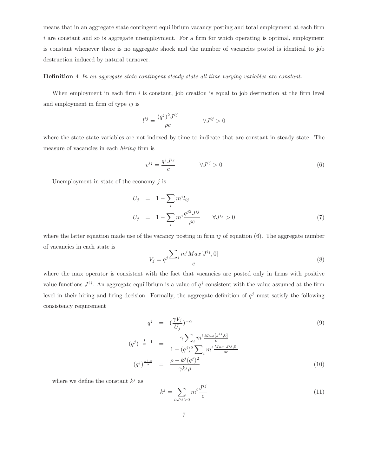means that in an aggregate state contingent equilibrium vacancy posting and total employment at each firm  $i$  are constant and so is aggregate unemployment. For a firm for which operating is optimal, employment is constant whenever there is no aggregate shock and the number of vacancies posted is identical to job destruction induced by natural turnover.

#### Definition 4 In an aggregate state contingent steady state all time varying variables are constant.

When employment in each firm  $i$  is constant, job creation is equal to job destruction at the firm level and employment in firm of type  $ij$  is

$$
l^{ij} = \frac{(q^j)^2 J^{ij}}{\rho c} \qquad \forall J^{ij} > 0
$$

where the state state variables are not indexed by time to indicate that are constant in steady state. The measure of vacancies in each hiring firm is

$$
v^{ij} = \frac{q^j J^{ij}}{c} \qquad \forall J^{ij} > 0 \tag{6}
$$

Unemployment in state of the economy  $j$  is

$$
U_j = 1 - \sum_i m^i l_{ij}
$$
  
\n
$$
U_j = 1 - \sum_i m^i \frac{q^{i2} J^{ij}}{\rho c} \qquad \forall J^{ij} > 0
$$
\n(7)

where the latter equation made use of the vacancy posting in firm  $ij$  of equation (6). The aggregate number of vacancies in each state is

$$
V_j = q^j \frac{\sum_i m^i Max[J^{ij}, 0]}{c} \tag{8}
$$

where the max operator is consistent with the fact that vacancies are posted only in firms with positive value functions  $J^{ij}$ . An aggregate equilibrium is a value of  $q^{j}$  consistent with the value assumed at the firm level in their hiring and firing decision. Formally, the aggregate definition of  $q<sup>j</sup>$  must satisfy the following consistency requirement

$$
q^{j} = \left(\frac{\gamma V_{j}}{U_{j}}\right)^{-\alpha} \tag{9}
$$

$$
-\frac{1}{\alpha} - 1 = \frac{\gamma \sum_{i} m^{i} \frac{Max[J^{ij}, 0]}{c}}{\sum_{i} M_{i} \left(\frac{M_{i}}{U_{i}}\right)^{j}}
$$

$$
(q^{j})^{-\frac{1}{\alpha}-1} = \frac{1-\sqrt{2i}}{1-(q^{j})^{2}\sum_{i} m^{i}\frac{Max[J^{ij},0]}{\rho c}}
$$

$$
(q^{j})^{\frac{1+\alpha}{\alpha}} = \frac{\rho-k^{j}(q^{j})^{2}}{\gamma k^{j}\rho}
$$
(10)

where we define the constant  $k^j$  as

$$
k^j = \sum_{i:J^{ij} > 0} m^i \frac{J^{ij}}{c} \tag{11}
$$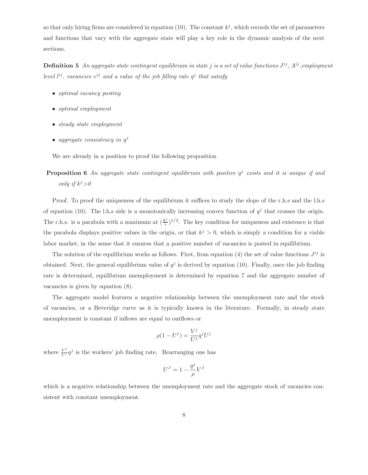so that only hiring firms are considered in equation (10). The constant  $k^j$ , which records the set of parameters and functions that vary with the aggregate state will play a key role in the dynamic analysis of the next sections.

**Definition 5** An aggregate state contingent equilibrium in state j is a set of value functions  $J^{ij}$ ,  $A^{ij}$ , employment level  $l^{ij}$ , vacancies  $v^{ij}$  and a value of the job filling rate  $q^j$  that satisfy

- *optimal vacancy posting*
- optimal employment
- *steady state employment*
- aggregate consistency in  $q^j$

We are already in a position to proof the following proposition

**Proposition 6** An aggregate state contingent equilibrium with positive  $q^j$  exists and it is unique if and only if  $k^j>0$ 

Proof. To proof the uniqueness of the equilibrium it suffices to study the slope of the r.h.s and the l.h.s of equation (10). The l.h.s side is a monotonically increasing convex function of  $q^j$  that crosses the origin. The r.h.s. is a parabola with a maximum at  $(\frac{k^j}{\gamma})^{1/2}$ . The key condition for uniqueness and existence is that the parabola displays positive values in the origin, or that  $k^j > 0$ , which is simply a condition for a viable labor market, in the sense that it ensures that a positive number of vacancies is posted in equilibrium.

The solution of the equilibrium works as follows. First, from equation (4) the set of value functions  $J^{ij}$  is obtained. Next, the general equilibrium value of  $q^j$  is derived by equation (10). Finally, once the job finding rate is determined, equilibrium unemployment is determined by equation 7 and the aggregate number of vacancies is given by equation (8).

The aggregate model features a negative relationship between the unemployment rate and the stock of vacancies, or a Beveridge curve as it is typically known in the literature. Formally, in steady state unemployment is constant if inflows are equal to outflows or

$$
\rho(1 - U^j) = \frac{V^j}{U^j} q^j U^j
$$

where  $\frac{V^j}{U^j}q^j$  is the workers' job finding rate. Rearranging one has

$$
U^J=1-\frac{q^j}{\rho}V^J
$$

which is a negative relationship between the unemployment rate and the aggregate stock of vacancies consistent with constant unemployment.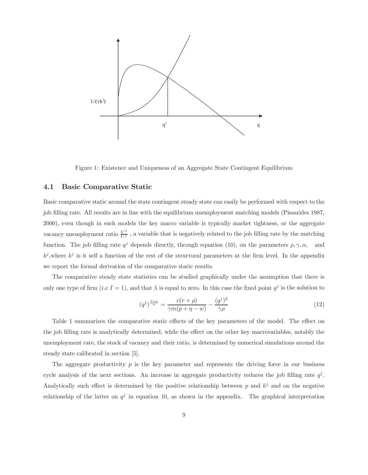

Figure 1: Existence and Uniqueness of an Aggregate State Contingent Equilibrium

#### 4.1 Basic Comparative Static

Basic comparative static around the state contingent steady state can easily be performed with respect to the job filling rate. All results are in line with the equilibrium unemployment matching models (Pissarides 1987, 2000), even though in such models the key macro variable is typically market tightness, or the aggregate vacancy unemployment ratio  $\frac{V^J}{U^J}$ , a variable that is negatively related to the job filling rate by the matching function. The job filling rate  $q^j$  depends directly, through equation (10), on the parameters  $\rho, \gamma, \alpha$ , and  $k^j$ , where  $k^j$  is it self a function of the rest of the structural parameters at the firm level. In the appendix we report the formal derivation of the comparative static results.

The comparative steady state statistics can be studied graphically under the assumption that there is only one type of firm (i.e I = 1), and that  $\lambda$  is equal to zero. In this case the fixed point  $q^j$  is the solution to

$$
(q^j)^{\frac{1+\alpha}{\alpha}} = \frac{c(r+\rho)}{\gamma m(p+\eta - w)} - \frac{(q^j)^2}{\gamma \rho} \tag{12}
$$

Table 1 summarizes the comparative static effects of the key parameters of the model. The effect on the job filling rate is analytically determined, while the effect on the other key macrovariables, notably the unemployment rate, the stock of vacancy and their ratio, is determined by numerical simulations around the steady state calibrated in section [5].

The aggregate productivity  $p$  is the key parameter and represents the driving force in our business cycle analysis of the next sections. An increase in aggregate productivity reduces the job filling rate  $q<sup>j</sup>$ . Analytically such effect is determined by the positive relationship between  $p$  and  $k^{j}$  and on the negative relationship of the latter on  $q<sup>j</sup>$  in equation 10, as shown in the appendix. The graphical interpretation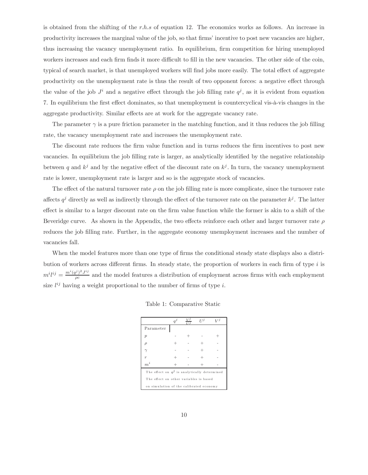is obtained from the shifting of the r.h.s of equation 12. The economics works as follows. An increase in productivity increases the marginal value of the job, so that firms' incentive to post new vacancies are higher, thus increasing the vacancy unemployment ratio. In equilibrium, firm competition for hiring unemployed workers increases and each firm finds it more difficult to fill in the new vacancies. The other side of the coin, typical of search market, is that unemployed workers will find jobs more easily. The total effect of aggregate productivity on the unemployment rate is thus the result of two opponent forces: a negative effect through the value of the job  $J^i$  and a negative effect through the job filling rate  $q^j$ , as it is evident from equation 7. In equilibrium the first effect dominates, so that unemployment is countercyclical vis-à-vis changes in the aggregate productivity. Similar effects are at work for the aggregate vacancy rate.

The parameter  $\gamma$  is a pure friction parameter in the matching function, and it thus reduces the job filling rate, the vacancy unemployment rate and increases the unemployment rate.

The discount rate reduces the firm value function and in turns reduces the firm incentives to post new vacancies. In equilibrium the job filling rate is larger, as analytically identified by the negative relationship between q and  $k^j$  and by the negative effect of the discount rate on  $k^j$ . In turn, the vacancy unemployment rate is lower, unemployment rate is larger and so is the aggregate stock of vacancies.

The effect of the natural turnover rate  $\rho$  on the job filling rate is more complicate, since the turnover rate affects  $q^j$  directly as well as indirectly through the effect of the turnover rate on the parameter  $k^j$ . The latter effect is similar to a larger discount rate on the firm value function while the former is akin to a shift of the Beveridge curve. As shown in the Appendix, the two effects reinforce each other and larger turnover rate  $\rho$ reduces the job filling rate. Further, in the aggregate economy unemployment increases and the number of vacancies fall.

When the model features more than one type of firms the conditional steady state displays also a distribution of workers across different firms. In steady state, the proportion of workers in each firm of type  $i$  is  $m^i l^{ij} = \frac{m^i (q^j)^2 J^{ij}}{\rho c}$  and the model features a distribution of employment across firms with each employment size  $l^{ij}$  having a weight proportional to the number of firms of type i.

|                                                | $q^j$ | $V^j$<br>11 Л | $77^j$ | $\overline{z}$ |  |  |  |
|------------------------------------------------|-------|---------------|--------|----------------|--|--|--|
| Parameter                                      |       |               |        |                |  |  |  |
| $\mathcal{P}$                                  |       |               |        |                |  |  |  |
| ρ                                              |       |               |        |                |  |  |  |
|                                                |       |               |        |                |  |  |  |
| $\overline{r}$                                 |       |               |        |                |  |  |  |
| $\boldsymbol{m}^i$                             |       |               |        |                |  |  |  |
| The effect on $q^j$ is analytically determined |       |               |        |                |  |  |  |
| The effect on other variables is based         |       |               |        |                |  |  |  |
| on simulation of the calibrated economy        |       |               |        |                |  |  |  |

Table 1: Comparative Static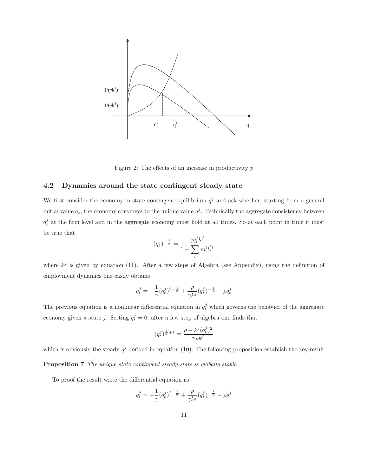

Figure 2: The effects of an increase in productivity  $p$ 

#### 4.2 Dynamics around the state contingent steady state

We first consider the economy in state contingent equilibrium  $q<sup>j</sup>$  and ask whether, starting from a general initial value  $q_o$ , the economy converges to the unique value  $q^j$ . Technically the aggregate consistency between  $q_t^j$  at the firm level and in the aggregate economy must hold at all times. So at each point in time it must be true that

$$
(q^j_t)^{-\frac{1}{\alpha}}=\frac{\gamma q^j_t k^j}{1-\sum\limits_i m^i l^{ij}_t}
$$

where  $k^j$  is given by equation (11). After a few steps of Algebra (see Appendix), using the definition of employment dynamics one easily obtains

$$
\dot{q}_t^j = -\frac{1}{\gamma} (q_t^j)^{2-\frac{1}{\alpha}} + \frac{\rho}{\gamma k^j} (q_t^j)^{-\frac{1}{\alpha}} - \rho q_t^j
$$

The previous equation is a nonlinear differential equation in  $q_t^j$  which governs the behavior of the aggregate economy given a state j. Setting  $\dot{q}_t^j = 0$ , after a few step of algebra one finds that

$$
(q_t^j)^{\frac{1}{\alpha}+1} = \frac{\rho - k^j (q_t^j)^2}{\gamma \rho k^j}
$$

which is obviously the steady  $q^j$  derived in equation (10). The following proposition establish the key result

Proposition 7 The unique state contingent steady state is globally stable

To proof the result write the differential equation as

$$
\dot{q}^j_t = -\frac{1}{\gamma} (q^j_t)^{2-\frac{1}{\alpha}} + \frac{\rho}{\gamma k^j} (q^j_t)^{-\frac{1}{\alpha}} - \rho q^j
$$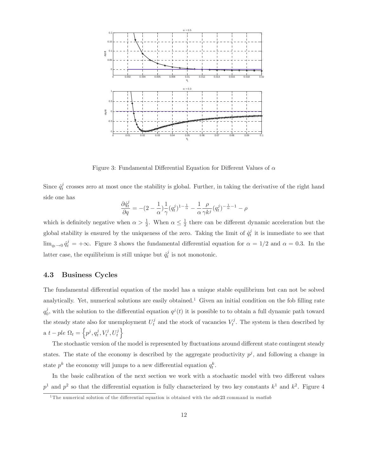

Figure 3: Fundamental Differential Equation for Different Values of  $\alpha$ 

Since  $\dot{q}_t^j$  crosses zero at most once the stability is global. Further, in taking the derivative of the right hand side one has

$$
\frac{\partial \dot{q}^j_t}{\partial q} = -(2 - \frac{1}{\alpha})\frac{1}{\gamma} (q^j_t)^{1-\frac{1}{\alpha}} - \frac{1}{\alpha} \frac{\rho}{\gamma k^j} (q^j_t)^{-\frac{1}{\alpha}-1} - \rho
$$

which is definitely negative when  $\alpha > \frac{1}{2}$ . When  $\alpha \leq \frac{1}{2}$  there can be different dynamic acceleration but the global stability is ensured by the uniqueness of the zero. Taking the limit of  $\dot{q}_t^j$  it is immediate to see that  $\lim_{q_t \to 0} \dot{q}_t^j = +\infty$ . Figure 3 shows the fundamental differential equation for  $\alpha = 1/2$  and  $\alpha = 0.3$ . In the latter case, the equilibrium is still unique but  $\dot{q}_t^j$  is not monotonic.

### 4.3 Business Cycles

The fundamental differential equation of the model has a unique stable equilibrium but can not be solved analytically. Yet, numerical solutions are easily obtained.<sup>1</sup> Given an initial condition on the fob filling rate  $q_0^j$ , with the solution to the differential equation  $q^j(t)$  it is possible to to obtain a full dynamic path toward the steady state also for unemployment  $U_t^j$  and the stock of vacancies  $V_t^j$ . The system is then described by a  $t - ple \Omega_t = \left\{ p^j, q_t^j, V_t^j, U_t^j \right\}$ 

The stochastic version of the model is represented by fluctuations around different state contingent steady states. The state of the economy is described by the aggregate productivity  $p<sup>j</sup>$ , and following a change in state  $p^k$  the economy will jumps to a new differential equation  $q_t^k$ .

In the basic calibration of the next section we work with a stochastic model with two different values  $p<sup>1</sup>$  and  $p<sup>2</sup>$  so that the differential equation is fully characterized by two key constants  $k<sup>1</sup>$  and  $k<sup>2</sup>$ . Figure 4

<sup>&</sup>lt;sup>1</sup>The numerical solution of the differential equation is obtained with the  $ode23$  command in matlab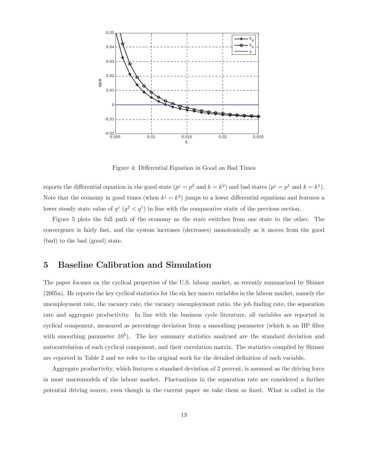

Figure 4: Differential Equation in Good an Bad Times

reports the differential equation in the good state  $(p^j = p^2$  and  $k = k^2)$  and bad states  $(p^j = p^1$  and  $k = k^1$ . Note that the economy in good times (when  $k^j = k^2$ ) jumps to a lower differential equations and features a lower steady state value of  $q^j$   $(q^2 < q^1)$  in line with the comparative static of the previous section.

Figure 5 plots the full path of the economy as the state switches from one state to the other. The convergence is fairly fast, and the system increases (decreases) monotonically as it moves from the good (bad) to the bad (good) state.

## 5 Baseline Calibration and Simulation

The paper focuses on the cyclical properties of the U.S. labour market, as recently summarized by Shimer (2005a). He reports the key cyclical statistics for the six key macro variables in the labour market, namely the unemployment rate, the vacancy rate, the vacancy unemployment ratio, the job finding rate, the separation rate and aggregate productivity. In line with the business cycle literature, all variables are reported in cyclical component, measured as percentage deviation from a smoothing parameter (which is an HP filter with smoothing parameter  $10^5$ ). The key summary statistics analyzed are the standard deviation and autocorrelation of each cyclical component, and their correlation matrix. The statistics compiled by Shimer are reported in Table 2 and we refer to the original work for the detailed definition of each variable.

Aggregate productivity, which features a standard deviation of 2 percent, is assumed as the driving force in most macromodels of the labour market. Fluctuations in the separation rate are considered a further potential driving source, even though in the current paper we take them as fixed. What is called in the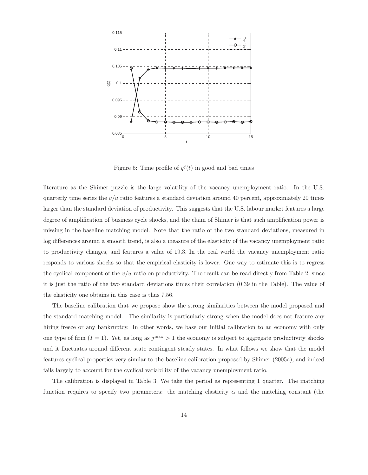

Figure 5: Time profile of  $q^{j}(t)$  in good and bad times

literature as the Shimer puzzle is the large volatility of the vacancy unemployment ratio. In the U.S. quarterly time series the  $v/u$  ratio features a standard deviation around 40 percent, approximately 20 times larger than the standard deviation of productivity. This suggests that the U.S. labour market features a large degree of amplification of business cycle shocks, and the claim of Shimer is that such amplification power is missing in the baseline matching model. Note that the ratio of the two standard deviations, measured in log differences around a smooth trend, is also a measure of the elasticity of the vacancy unemployment ratio to productivity changes, and features a value of 19.3. In the real world the vacancy unemployment ratio responds to various shocks so that the empirical elasticity is lower. One way to estimate this is to regress the cyclical component of the  $v/u$  ratio on productivity. The result can be read directly from Table 2, since it is just the ratio of the two standard deviations times their correlation (0.39 in the Table). The value of the elasticity one obtains in this case is thus 7.56.

The baseline calibration that we propose show the strong similarities between the model proposed and the standard matching model. The similarity is particularly strong when the model does not feature any hiring freeze or any bankruptcy. In other words, we base our initial calibration to an economy with only one type of firm  $(I = 1)$ . Yet, as long as  $j<sup>max</sup> > 1$  the economy is subject to aggregate productivity shocks and it fluctuates around different state contingent steady states. In what follows we show that the model features cyclical properties very similar to the baseline calibration proposed by Shimer (2005a), and indeed fails largely to account for the cyclical variability of the vacancy unemployment ratio.

The calibration is displayed in Table 3. We take the period as representing 1 quarter. The matching function requires to specify two parameters: the matching elasticity  $\alpha$  and the matching constant (the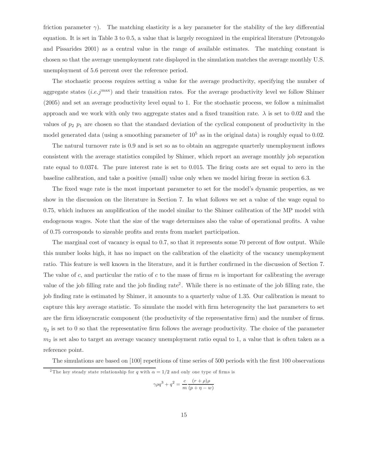friction parameter  $\gamma$ ). The matching elasticity is a key parameter for the stability of the key differential equation. It is set in Table 3 to 0.5, a value that is largely recognized in the empirical literature (Petrongolo and Pissarides 2001) as a central value in the range of available estimates. The matching constant is chosen so that the average unemployment rate displayed in the simulation matches the average monthly U.S. unemployment of 5.6 percent over the reference period.

The stochastic process requires setting a value for the average productivity, specifying the number of aggregate states  $(i.e. j<sup>max</sup>)$  and their transition rates. For the average productivity level we follow Shimer (2005) and set an average productivity level equal to 1. For the stochastic process, we follow a minimalist approach and we work with only two aggregate states and a fixed transition rate.  $\lambda$  is set to 0.02 and the values of  $p_2$   $p_1$  are chosen so that the standard deviation of the cyclical component of productivity in the model generated data (using a smoothing parameter of  $10^5$  as in the original data) is roughly equal to 0.02.

The natural turnover rate is 0.9 and is set so as to obtain an aggregate quarterly unemployment inflows consistent with the average statistics compiled by Shimer, which report an average monthly job separation rate equal to 0.0374. The pure interest rate is set to 0.015. The firing costs are set equal to zero in the baseline calibration, and take a positive (small) value only when we model hiring freeze in section 6.3.

The fixed wage rate is the most important parameter to set for the model's dynamic properties, as we show in the discussion on the literature in Section 7. In what follows we set a value of the wage equal to 0.75, which induces an amplification of the model similar to the Shimer calibration of the MP model with endogenous wages. Note that the size of the wage determines also the value of operational profits. A value of 0.75 corresponds to sizeable profits and rents from market participation.

The marginal cost of vacancy is equal to 0.7, so that it represents some 70 percent of flow output. While this number looks high, it has no impact on the calibration of the elasticity of the vacancy unemployment ratio. This feature is well known in the literature, and it is further confirmed in the discussion of Section 7. The value of c, and particular the ratio of c to the mass of firms  $m$  is important for calibrating the average value of the job filling rate and the job finding rate<sup>2</sup>. While there is no estimate of the job filling rate, the job finding rate is estimated by Shimer, it amounts to a quarterly value of 1.35. Our calibration is meant to capture this key average statistic. To simulate the model with firm heterogeneity the last parameters to set are the firm idiosyncratic component (the productivity of the representative firm) and the number of firms.  $\eta_2$  is set to 0 so that the representative firm follows the average productivity. The choice of the parameter  $m<sub>2</sub>$  is set also to target an average vacancy unemployment ratio equal to 1, a value that is often taken as a reference point.

The simulations are based on [100] repetitions of time series of 500 periods with the first 100 observations

$$
\gamma \rho q^3 + q^2 = \frac{c}{m} \frac{(r+\rho)\rho}{(p+\eta-w)}
$$

<sup>&</sup>lt;sup>2</sup>The key steady state relationship for q with  $\alpha = 1/2$  and only one type of firms is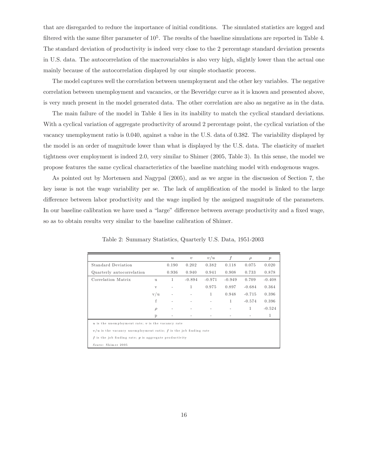that are disregarded to reduce the importance of initial conditions. The simulated statistics are logged and filtered with the same filter parameter of  $10^5$ . The results of the baseline simulations are reported in Table 4. The standard deviation of productivity is indeed very close to the 2 percentage standard deviation presents in U.S. data. The autocorrelation of the macrovariables is also very high, slightly lower than the actual one mainly because of the autocorrelation displayed by our simple stochastic process.

The model captures well the correlation between unemployment and the other key variables. The negative correlation between unemployment and vacancies, or the Beveridge curve as it is known and presented above, is very much present in the model generated data. The other correlation are also as negative as in the data.

The main failure of the model in Table 4 lies in its inability to match the cyclical standard deviations. With a cyclical variation of aggregate productivity of around 2 percentage point, the cyclical variation of the vacancy unemployment ratio is 0.040, against a value in the U.S. data of 0.382. The variability displayed by the model is an order of magnitude lower than what is displayed by the U.S. data. The elasticity of market tightness over employment is indeed 2.0, very similar to Shimer (2005, Table 3). In this sense, the model we propose features the same cyclical characteristics of the baseline matching model with endogenous wages.

As pointed out by Mortensen and Nagypal (2005), and as we argue in the discussion of Section 7, the key issue is not the wage variability per se. The lack of amplification of the model is linked to the large difference between labor productivity and the wage implied by the assigned magnitude of the parameters. In our baseline calibration we have used a "large" difference between average productivity and a fixed wage, so as to obtain results very similar to the baseline calibration of Shimer.

|                                                                      |              | $\boldsymbol{u}$ | $\upsilon$ | v/u      | f            | $\rho$       | $\boldsymbol{p}$ |
|----------------------------------------------------------------------|--------------|------------------|------------|----------|--------------|--------------|------------------|
| Standard Deviation                                                   |              | 0.190            | 0.202      | 0.382    | 0.118        | 0.075        | 0.020            |
| Quarterly autocorrelation                                            |              | 0.936            | 0.940      | 0.941    | 0.908        | 0.733        | 0.878            |
| Correlation Matrix                                                   | 11           | 1                | $-0.894$   | $-0.971$ | $-0.949$     | 0.709        | $-0.408$         |
|                                                                      | $\mathbf{V}$ | ۰                | 1          | 0.975    | 0.897        | $-0.684$     | 0.364            |
|                                                                      | v/u          |                  |            | 1        | 0.948        | $-0.715$     | 0.396            |
|                                                                      | f            |                  |            |          | $\mathbf{1}$ | $-0.574$     | 0.396            |
|                                                                      | $\rho$       |                  |            |          |              | $\mathbf{1}$ | $-0.524$         |
|                                                                      | P            |                  |            |          |              |              | 1                |
| $u$ is the unemployment rate; $v$ is the vacancy rate                |              |                  |            |          |              |              |                  |
| $v/u$ is the vacancy unemployment ratio; $f$ is the job finding rate |              |                  |            |          |              |              |                  |
| $f$ is the job finding rate; $p$ is aggregate productivity           |              |                  |            |          |              |              |                  |
| Source: Shimer 2005                                                  |              |                  |            |          |              |              |                  |

Table 2: Summary Statistics, Quarterly U.S. Data, 1951-2003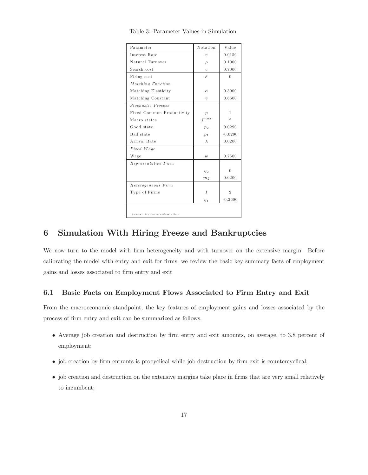| Parameter                   | Notation         | Value          |
|-----------------------------|------------------|----------------|
| Interest Rate               | $\boldsymbol{r}$ | 0.0150         |
| Natural Turnover            | $\rho$           | 0.1000         |
| Search cost                 | $\mathfrak c$    | 0.7000         |
| Firing cost                 | F                | $\Omega$       |
| Matching Function           |                  |                |
| Matching Elasticity         | $\alpha$         | 0.5000         |
| Matching Constant           | $\gamma$         | 0.6600         |
| Stochastic Process          |                  |                |
| Fixed Common Productivity   | $\boldsymbol{p}$ | 1              |
| Macro states                | $j^{max}$        | $\overline{2}$ |
| Good state                  | p <sub>2</sub>   | 0.0290         |
| Bad state                   | p <sub>1</sub>   | $-0.0290$      |
| Arrival Rate                | $\lambda$        | 0.0200         |
| Fixed Wage                  |                  |                |
| Wage                        | $\boldsymbol{w}$ | 0.7500         |
| Representative Firm         |                  |                |
|                             | $\eta_2$         | $\Omega$       |
|                             | m <sub>2</sub>   | 0.0200         |
| Heterogeneous Firm          |                  |                |
| Type of Firms               | $\overline{I}$   | $\overline{2}$ |
|                             | $\eta_{1}$       | $-0.2600$      |
|                             |                  |                |
| Source: Authors calculation |                  |                |

Table 3: Parameter Values in Simulation

## 6 Simulation With Hiring Freeze and Bankruptcies

We now turn to the model with firm heterogeneity and with turnover on the extensive margin. Before calibrating the model with entry and exit for firms, we review the basic key summary facts of employment gains and losses associated to firm entry and exit

#### 6.1 Basic Facts on Employment Flows Associated to Firm Entry and Exit

From the macroeconomic standpoint, the key features of employment gains and losses associated by the process of firm entry and exit can be summarized as follows.

- Average job creation and destruction by firm entry and exit amounts, on average, to 3.8 percent of employment;
- job creation by firm entrants is procyclical while job destruction by firm exit is countercyclical;
- job creation and destruction on the extensive margins take place in firms that are very small relatively to incumbent;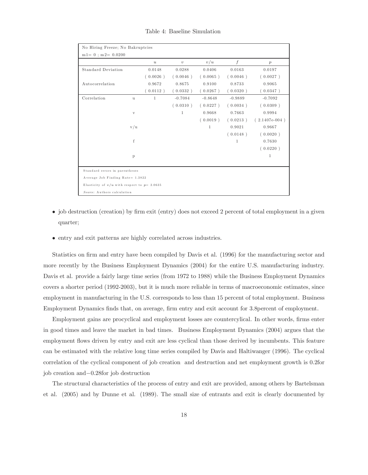| No Hiring Freeze; No Bakruptcies               |              |                  |              |              |                  |                 |  |
|------------------------------------------------|--------------|------------------|--------------|--------------|------------------|-----------------|--|
| $m1 = 0$ ; $m2 = 0.0200$                       |              |                  |              |              |                  |                 |  |
|                                                |              | $\boldsymbol{u}$ | $\upsilon$   | v/u          | $\boldsymbol{f}$ | p               |  |
| <b>Standard Deviation</b>                      |              | 0.0148           | 0.0288       | 0.0406       | 0.0163           | 0.0197          |  |
|                                                |              | (0.0026)         | (0.0046)     | (0.0065)     | (0.0046)         | (0.0027)        |  |
| Autocorrelation                                |              | 0.9672           | 0.8675       | 0.9100       | 0.8733           | 0.9065          |  |
|                                                |              | (0.0112)         | (0.0332)     | (0.0267)     | (0.0320)         | (0.0347)        |  |
| Correlation                                    | u            | 1                | $-0.7084$    | $-0.8648$    | $-0.9889$        | $-0.7092$       |  |
|                                                |              |                  | (0.0310)     | (0.0227)     | (0.0034)         | (0.0309)        |  |
|                                                | $\mathbf{V}$ |                  | $\mathbf{1}$ | 0.9668       | 0.7663           | 0.9994          |  |
|                                                |              |                  |              | (0.0019)     | (0.0213)         | $(2.1407e-004)$ |  |
|                                                | v/u          |                  |              | $\mathbf{1}$ | 0.9021           | 0.9667          |  |
|                                                |              |                  |              |              | (0.0148)         | (0.0020)        |  |
|                                                | f            |                  |              |              | 1                | 0.7630          |  |
|                                                |              |                  |              |              |                  | (0.0220)        |  |
|                                                | $\mathbf{p}$ |                  |              |              |                  | 1               |  |
|                                                |              |                  |              |              |                  |                 |  |
| Standard errors in parentheses                 |              |                  |              |              |                  |                 |  |
| Average Job Finding Rate= 1.3822               |              |                  |              |              |                  |                 |  |
| Elasticity of $v/u$ with respect to $p=2.0635$ |              |                  |              |              |                  |                 |  |
| Source: Authors calculation                    |              |                  |              |              |                  |                 |  |

Table 4: Baseline Simulation

- job destruction (creation) by firm exit (entry) does not exceed 2 percent of total employment in a given quarter;
- entry and exit patterns are highly correlated across industries.

Statistics on firm and entry have been compiled by Davis et al. (1996) for the manufacturing sector and more recently by the Business Employment Dynamics (2004) for the entire U.S. manufacturing industry. Davis et al. provide a fairly large time series (from 1972 to 1988) while the Business Employment Dynamics covers a shorter period (1992-2003), but it is much more reliable in terms of macroeconomic estimates, since employment in manufacturing in the U.S. corresponds to less than 15 percent of total employment. Business Employment Dynamics finds that, on average, firm entry and exit account for 3.8percent of employment.

Employment gains are procyclical and employment losses are countercylical. In other words, firms enter in good times and leave the market in bad times. Business Employment Dynamics (2004) argues that the employment flows driven by entry and exit are less cyclical than those derived by incumbents. This feature can be estimated with the relative long time series compiled by Davis and Haltiwanger (1996). The cyclical correlation of the cyclical component of job creation and destruction and net employment growth is 0.2for job creation and−0.28for job destruction

The structural characteristics of the process of entry and exit are provided, among others by Bartelsman et al. (2005) and by Dunne et al. (1989). The small size of entrants and exit is clearly documented by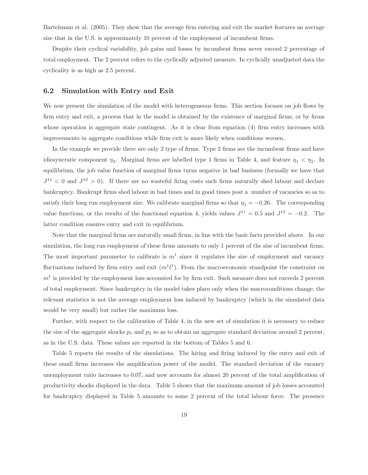Bartelsman et al. (2005). They show that the average firm entering and exit the market features an average size that in the U.S. is approximately 10 percent of the employment of incumbent firms.

Despite their cyclical variability, job gains and losses by incumbent firms never exceed 2 percentage of total employment. The 2 percent refers to the cyclically adjusted measure. In cyclically unadjusted data the cyclicality is as high as 2.5 percent.

#### 6.2 Simulation with Entry and Exit

We now present the simulation of the model with heterogeneous firms. This section focuses on job flows by firm entry and exit, a process that in the model is obtained by the existence of marginal firms, or by firms whose operation is aggregate state contingent. As it is clear from equation (4) firm entry increases with improvements in aggregate conditions while firm exit is more likely when conditions worsen.

In the example we provide there are only 2 type of firms. Type 2 firms are the incumbent firms and have idiosyncratic component  $\eta_2$ . Marginal firms are labelled type 1 firms in Table 4, and feature  $\eta_1 < \eta_2$ . In equilibrium, the job value function of marginal firms turns negative in bad business (formally we have that  $J^{11}$  < 0 and  $J^{12}$  > 0). If there are no wasteful firing costs such firms naturally shed labour and declare bankruptcy. Bankrupt firms shed labour in bad times and in good times post a number of vacancies so as to satisfy their long run employment size. We calibrate marginal firms so that  $\eta_1 = -0.26$ . The corresponding value functions, or the results of the functional equation 4, yields values  $J^{11} = 0.5$  and  $J^{12} = -0.2$ . The latter condition ensures entry and exit in equilibrium.

Note that the marginal firms are naturally small firms, in line with the basic facts provided above. In our simulation, the long run employment of these firms amounts to only 1 percent of the size of incumbent firms. The most important parameter to calibrate is  $m<sup>1</sup>$  since it regulates the size of employment and vacancy fluctuations induced by firm entry and exit  $(m<sup>1</sup>l<sup>1</sup>)$ . From the macroeconomic standpoint the constraint on  $m<sup>1</sup>$  is provided by the employment loss accounted for by firm exit. Such measure does not exceeds 2 percent of total employment. Since bankruptcy in the model takes place only when the macroconditions change, the relevant statistics is not the average employment loss induced by bankruptcy (which in the simulated data would be very small) but rather the maximum loss.

Further, with respect to the calibration of Table 4, in the new set of simulation it is necessary to reduce the size of the aggregate shocks  $p_1$  and  $p_2$  so as to obtain an aggregate standard deviation around 2 percent, as in the U.S. data. These values are reported in the bottom of Tables 5 and 6.

Table 5 reports the results of the simulations. The hiring and firing induced by the entry and exit of these small firms increases the amplification power of the model. The standard deviation of the vacancy unemployment ratio increases to 0.07, and now accounts for almost 20 percent of the total amplification of productivity shocks displayed in the data. Table 5 shows that the maximum amount of job losses accounted for bankruptcy displayed in Table 5 amounts to some 2 percent of the total labour force. The presence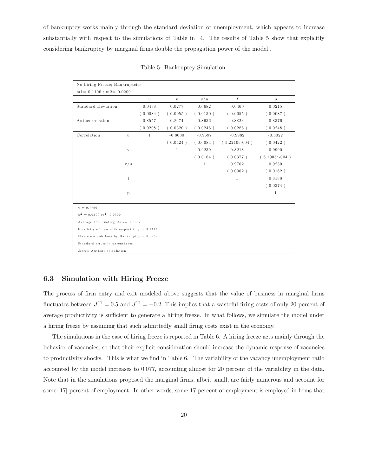of bankruptcy works mainly through the standard deviation of unemployment, which appears to increase substantially with respect to the simulations of Table in 4. The results of Table 5 show that explicitly considering bankruptcy by marginal firms double the propagation power of the model .

| No hiring Freeze; Bankruptcies                   |              |                  |              |              |                 |                  |
|--------------------------------------------------|--------------|------------------|--------------|--------------|-----------------|------------------|
| $m1 = 0.1100$ ; $m2 = 0.0200$                    |              |                  |              |              |                 |                  |
|                                                  |              | $\boldsymbol{u}$ | $\upsilon$   | v/u          | f               | $\boldsymbol{p}$ |
| <b>Standard Deviation</b>                        |              | 0.0438           | 0.0277       | 0.0682       | 0.0460          | 0.0215           |
|                                                  |              | (0.0084)         | (0.0055)     | (0.0130)     | (0.0055)        | (0.0087)         |
| Autocorrelation                                  |              | 0.8557           | 0.8674       | 0.8636       | 0.8823          | 0.8376           |
|                                                  |              | (0.0208)         | (0.0320)     | (0.0246)     | (0.0286)        | (0.0248)         |
| Correlation                                      | $\mathbf{u}$ | $\mathbf{1}$     | $-0.8030$    | $-0.9697$    | $-0.9982$       | $-0.8022$        |
|                                                  |              |                  | (0.0424)     | (0.0084)     | $(5.2210e-004)$ | (0.0422)         |
|                                                  | $\mathbf{V}$ |                  | $\mathbf{1}$ | 0.9239       | 0.8218          | 0.9990           |
|                                                  |              |                  |              | (0.0164)     | (0.0377)        | $(6.1905e-004)$  |
|                                                  | v/u          |                  |              | $\mathbf{1}$ | 0.9762          | 0.9230           |
|                                                  |              |                  |              |              | (0.0062)        | (0.0162)         |
|                                                  | f            |                  |              |              | 1               | 0.8188           |
|                                                  |              |                  |              |              |                 | (0.0374)         |
|                                                  | $\mathbf{p}$ |                  |              |              |                 | $\mathbf 1$      |
| $\gamma = 0.7700$                                |              |                  |              |              |                 |                  |
| $p^2 = 0.0300$ ; $p^1$ -0.0300                   |              |                  |              |              |                 |                  |
| Average Job Finding Rate= 1.3397                 |              |                  |              |              |                 |                  |
| Elasticity of $v/u$ with respect to $p = 3.1713$ |              |                  |              |              |                 |                  |
| Maximum Job Loss by Bankruptcy = $0.0202$        |              |                  |              |              |                 |                  |
| Standard errors in parentheses                   |              |                  |              |              |                 |                  |
| Source: Authors calculation                      |              |                  |              |              |                 |                  |

Table 5: Bankruptcy Simulation

#### 6.3 Simulation with Hiring Freeze

The process of firm entry and exit modeled above suggests that the value of business in marginal firms fluctuates between  $J^{11} = 0.5$  and  $J^{12} = -0.2$ . This implies that a wasteful firing costs of only 20 percent of average productivity is sufficient to generate a hiring freeze. In what follows, we simulate the model under a hiring freeze by assuming that such admittedly small firing costs exist in the economy.

The simulations in the case of hiring freeze is reported in Table 6. A hiring freeze acts mainly through the behavior of vacancies, so that their explicit consideration should increase the dynamic response of vacancies to productivity shocks. This is what we find in Table 6. The variability of the vacancy unemployment ratio accounted by the model increases to 0.077, accounting almost for 20 percent of the variability in the data. Note that in the simulations proposed the marginal firms, albeit small, are fairly numerous and account for some [17] percent of employment. In other words, some 17 percent of employment is employed in firms that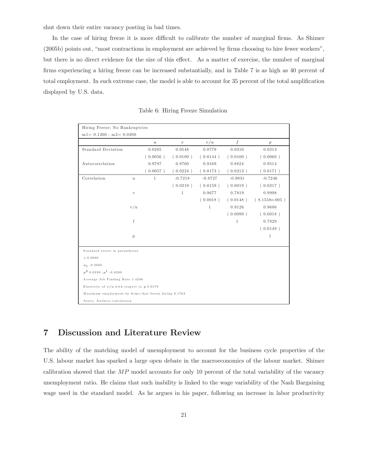shut down their entire vacancy posting in bad times.

In the case of hiring freeze it is more difficult to calibrate the number of marginal firms. As Shimer (2005b) points out, "most contractions in employment are achieved by firms choosing to hire fewer workers", but there is no direct evidence for the size of this effect. As a matter of exercise, the number of marginal firms experiencing a hiring freeze can be increased substantially, and in Table 7 is as high as 40 percent of total employment. In such extreme case, the model is able to account for 35 percent of the total amplification displayed by U.S. data.

| Hiring Freeze; No Bankruptcies                        |              |                  |              |              |                  |                 |  |
|-------------------------------------------------------|--------------|------------------|--------------|--------------|------------------|-----------------|--|
| $m1 = 0.1200$ ; $m2 = 0.0200$                         |              |                  |              |              |                  |                 |  |
|                                                       |              | $\boldsymbol{u}$ | $\upsilon$   | v/u          | $\boldsymbol{f}$ | p               |  |
| <b>Standard Deviation</b>                             |              | 0.0285           | 0.0548       | 0.0779       | 0.0310           | 0.0213          |  |
|                                                       |              | (0.0056)         | (0.0100)     | (0.0144)     | (0.0100)         | (0.0060)        |  |
| Autocorrelation                                       |              | 0.9787           | 0.8760       | 0.9169       | 0.8824           | 0.9514          |  |
|                                                       |              | (0.0057)         | 0.0224)      | (0.0173)     | (0.0213)         | (0.0171)        |  |
| Correlation                                           | $\mathbf u$  | $\mathbf{1}$     | $-0.7218$    | $-0.8727$    | $-0.9931$        | $-0.7246$       |  |
|                                                       |              |                  | (0.0219)     | (0.0159)     | (0.0019)         | (0.0217)        |  |
|                                                       | $\mathbf{V}$ |                  | $\mathbf{1}$ | 0.9677       | 0.7819           | 0.9998          |  |
|                                                       |              |                  |              | (0.0018)     | (0.0148)         | $(8.1558e-005)$ |  |
|                                                       | v/u          |                  |              | $\mathbf{1}$ | 0.9126           | 0.9686          |  |
|                                                       |              |                  |              |              | (0.0099)         | (0.0018)        |  |
|                                                       | f            |                  |              |              | $\mathbf{1}$     | 0.7829          |  |
|                                                       |              |                  |              |              |                  | (0.0149)        |  |
|                                                       | $\mathbf{p}$ |                  |              |              |                  | $\mathbf{1}$    |  |
|                                                       |              |                  |              |              |                  |                 |  |
| Standard errors in parentheses                        |              |                  |              |              |                  |                 |  |
| $\gamma$ 0.6000                                       |              |                  |              |              |                  |                 |  |
| $\eta_1 - 0.2600$                                     |              |                  |              |              |                  |                 |  |
| $p^2$ 0.0290 : $p^1$ -0.0290                          |              |                  |              |              |                  |                 |  |
| Average Job Finding Rate 1.4286                       |              |                  |              |              |                  |                 |  |
| Elasticity of $v/u$ with respect to $p 3.6579$        |              |                  |              |              |                  |                 |  |
| Maximum employment by firms that freeze hiring 0.1763 |              |                  |              |              |                  |                 |  |
| Source: Authors calculation                           |              |                  |              |              |                  |                 |  |

Table 6: Hiring Freeze Simulation

## 7 Discussion and Literature Review

The ability of the matching model of unemployment to account for the business cycle properties of the U.S. labour market has sparked a large open debate in the macroeconomics of the labour market. Shimer calibration showed that the  $MP$  model accounts for only 10 percent of the total variability of the vacancy unemployment ratio. He claims that such inability is linked to the wage variability of the Nash Bargaining wage used in the standard model. As he argues in his paper, following an increase in labor productivity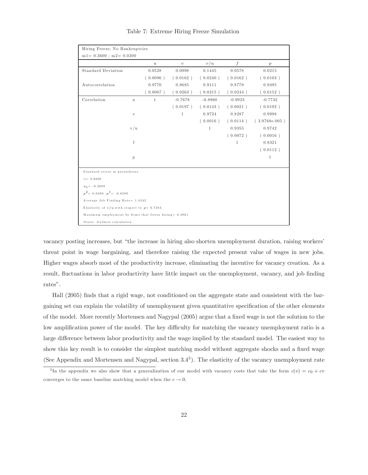| Hiring Freeze; No Bankruptcies                         |              |                  |              |              |                  |                  |  |
|--------------------------------------------------------|--------------|------------------|--------------|--------------|------------------|------------------|--|
| $m1 = 0.3600$ ; $m2 = 0.0200$                          |              |                  |              |              |                  |                  |  |
|                                                        |              | $\boldsymbol{u}$ | $\upsilon$   | v/u          | $\boldsymbol{f}$ | $\boldsymbol{p}$ |  |
| <b>Standard Deviation</b>                              |              | 0.0528           | 0.0998       | 0.1445       | 0.0578           | 0.0215           |  |
|                                                        |              | (0.0096)         | (0.0162)     | (0.0240)     | (0.0162)         | (0.0103)         |  |
| Autocorrelation                                        |              | 0.9770           | 0.8685       | 0.9111       | 0.8779           | 0.9495           |  |
|                                                        |              | (0.0067)         | (0.0263)     | (0.0215)     | (0.0244)         | (0.0152)         |  |
| Correlation                                            | u            | $\mathbf{1}$     | $-0.7678$    | $-0.8960$    | $-0.9923$        | $-0.7732$        |  |
|                                                        |              |                  | (0.0197)     | (0.0143)     | (0.0021)         | (0.0192)         |  |
|                                                        | $\mathbf{V}$ |                  | $\mathbf{1}$ | 0.9724       | 0.8287           | 0.9998           |  |
|                                                        |              |                  |              | (0.0016)     | (0.0114)         | $(3.9768e-005)$  |  |
|                                                        | v/u          |                  |              | $\mathbf{1}$ | 0.9355           | 0.9742           |  |
|                                                        |              |                  |              |              | (0.0072)         | (0.0016)         |  |
|                                                        | f            |                  |              |              | $\mathbf{1}$     | 0.8321           |  |
|                                                        |              |                  |              |              |                  | (0.0112)         |  |
|                                                        | $\mathbf{p}$ |                  |              |              |                  | 1                |  |
|                                                        |              |                  |              |              |                  |                  |  |
| Standard errors in parentheses                         |              |                  |              |              |                  |                  |  |
| $\gamma = 0.6600$                                      |              |                  |              |              |                  |                  |  |
| $\eta_1 = -0.2600$                                     |              |                  |              |              |                  |                  |  |
| $p^2 = 0.0290 : p^1 = -0.0290$                         |              |                  |              |              |                  |                  |  |
| Average Job Finding Rate= 1.4342                       |              |                  |              |              |                  |                  |  |
| Elasticity of $v/u$ with respect to $p=6.7283$         |              |                  |              |              |                  |                  |  |
| Maximum employment by firms that freeze hiring= 0.3861 |              |                  |              |              |                  |                  |  |
| Source: Authors calculation                            |              |                  |              |              |                  |                  |  |

Table 7: Extreme Hiring Freeze Simulation

vacancy posting increases, but "the increase in hiring also shorten unemployment duration, raising workers' threat point in wage bargaining, and therefore raising the expected present value of wages in new jobs. Higher wages absorb most of the productivity increase, eliminating the incentive for vacancy creation. As a result, fluctuations in labor productivity have little impact on the unemployment, vacancy, and job finding rates".

Hall (2005) finds that a rigid wage, not conditioned on the aggregate state and consistent with the bargaining set can explain the volatility of unemployment given quantitative specification of the other elements of the model. More recently Mortensen and Nagypal (2005) argue that a fixed wage is not the solution to the low amplification power of the model. The key difficulty for matching the vacancy unemployment ratio is a large difference between labor productivity and the wage implied by the standard model. The easiest way to show this key result is to consider the simplest matching model without aggregate shocks and a fixed wage (See Appendix and Mortensen and Nagypal, section 3.43). The elasticity of the vacancy unemployment rate

<sup>&</sup>lt;sup>3</sup>In the appendix we also show that a generalization of our model with vacancy costs that take the form  $c(v) = c_0 + cv$ converges to the same baseline matching model when the  $c \to 0$ ,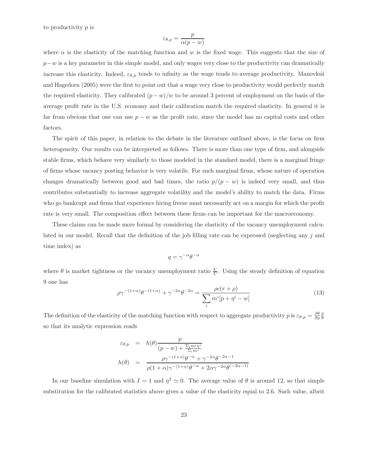to productivity p is

$$
\varepsilon_{\theta,p} = \frac{p}{\alpha(p-w)}
$$

where  $\alpha$  is the elasticity of the matching function and w is the fixed wage. This suggests that the size of  $p-w$  is a key parameter in this simple model, and only wages very close to the productivity can dramatically increase this elasticity. Indeed,  $\varepsilon_{\theta,p}$  tends to infinity as the wage tends to average productivity. Manovksii and Hagedorn (2005) were the first to point out that a wage very close to productivity would perfectly match the required elasticity. They calibrated  $(p - w)/w$  to be around 3 percent of employment on the basis of the average profit rate in the U.S. economy and their calibration match the required elasticity. In general it is far from obvious that one can use  $p - w$  as the profit rate, since the model has no capital costs and other factors.

The spirit of this paper, in relation to the debate in the literature outlined above, is the focus on firm heterogeneity. Our results can be interpreted as follows. There is more than one type of firm, and alongside stable firms, which behave very similarly to those modeled in the standard model, there is a marginal fringe of firms whose vacancy posting behavior is very volatile. For such marginal firms, whose nature of operation changes dramatically between good and bad times, the ratio  $p/(p - w)$  is indeed very small, and thus contributes substantially to increase aggregate volatility and the model's ability to match the data. Firms who go bankrupt and firms that experience hiring freeze must necessarily act on a margin for which the profit rate is very small. The composition effect between these firms can be important for the macroeconomy.

These claims can be made more formal by considering the elasticity of the vacancy unemployment calculated in our model. Recall that the definition of the job filling rate can be expressed (neglecting any j and time index) as

$$
q = \gamma^{-\alpha} \theta^{-\alpha}
$$

where  $\theta$  is market tightness or the vacancy unemployment ratio  $\frac{V}{U}$ . Using the steady definition of equation 9 one has

$$
\rho \gamma^{-(1+\alpha)} \theta^{-(1+\alpha)} + \gamma^{-2\alpha} \theta^{-2\alpha} = \frac{\rho c(r+\rho)}{\sum_{i} m^{i} [p + \eta^{i} - w]}
$$
(13)

The definition of the elasticity of the matching function with respect to aggregate productivity p is  $\varepsilon_{\theta,p} = \frac{\partial \theta}{\partial p} \frac{p}{\theta}$ so that its analytic expression reads

$$
\varepsilon_{\theta,p} = h(\theta) \frac{p}{(p-w) + \frac{\Sigma_i m^i \eta^i}{\Sigma_i m^i}}
$$

$$
h(\theta) = \frac{\rho \gamma^{-(1+\alpha)} \theta^{-\alpha} + \gamma^{-2\alpha} \theta^{-2\alpha - 1}}{\rho (1+\alpha) \gamma^{-(1+\alpha)} \theta^{-\alpha} + 2\alpha \gamma^{-2\alpha} \theta^{(-2\alpha - 1)}}
$$

In our baseline simulation with  $I = 1$  and  $\eta^2 \approx 0$ . The average value of  $\theta$  is around 12, so that simple substitution for the calibrated statistics above gives a value of the elasticity equal to 2.6. Such value, albeit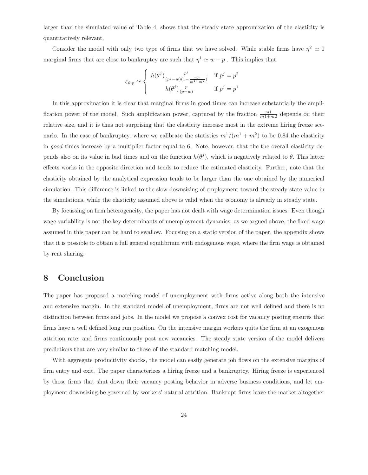larger than the simulated value of Table 4, shows that the steady state appromixation of the elasticity is quantitatively relevant.

Consider the model with only two type of firms that we have solved. While stable firms have  $\eta^2 \simeq 0$ marginal firms that are close to bankruptcy are such that  $\eta^1 \simeq w - p$ . This implies that

$$
\varepsilon_{\theta,p} \simeq \begin{cases} h(\theta^j) \frac{p^j}{(p^j - w)(1 - \frac{m^1}{m^1 + m^2})} & \text{if } p^j = p^2\\ h(\theta^j) \frac{p}{(p - w)} & \text{if } p^j = p^1 \end{cases}
$$

In this approximation it is clear that marginal firms in good times can increase substantially the amplification power of the model. Such amplification power, captured by the fraction  $\frac{m_1}{m_1+m_2}$  depends on their relative size, and it is thus not surprising that the elasticity increase most in the extreme hiring freeze scenario. In the case of bankruptcy, where we calibrate the statistics  $m^1/(m^1 + m^2)$  to be 0.84 the elasticity in good times increase by a multiplier factor equal to 6. Note, however, that the the overall elasticity depends also on its value in bad times and on the function  $h(\theta^j)$ , which is negatively related to  $\theta$ . This latter effects works in the opposite direction and tends to reduce the estimated elasticity. Further, note that the elasticity obtained by the analytical expression tends to be larger than the one obtained by the numerical simulation. This difference is linked to the slow downsizing of employment toward the steady state value in the simulations, while the elasticity assumed above is valid when the economy is already in steady state.

By focussing on firm heterogeneity, the paper has not dealt with wage determination issues. Even though wage variability is not the key determinants of unemployment dynamics, as we argued above, the fixed wage assumed in this paper can be hard to swallow. Focusing on a static version of the paper, the appendix shows that it is possible to obtain a full general equilibrium with endogenous wage, where the firm wage is obtained by rent sharing.

# 8 Conclusion

The paper has proposed a matching model of unemployment with firms active along both the intensive and extensive margin. In the standard model of unemployment, firms are not well defined and there is no distinction between firms and jobs. In the model we propose a convex cost for vacancy posting ensures that firms have a well defined long run position. On the intensive margin workers quits the firm at an exogenous attrition rate, and firms continuously post new vacancies. The steady state version of the model delivers predictions that are very similar to those of the standard matching model.

With aggregate productivity shocks, the model can easily generate job flows on the extensive margins of firm entry and exit. The paper characterizes a hiring freeze and a bankruptcy. Hiring freeze is experienced by those firms that shut down their vacancy posting behavior in adverse business conditions, and let employment downsizing be governed by workers' natural attrition. Bankrupt firms leave the market altogether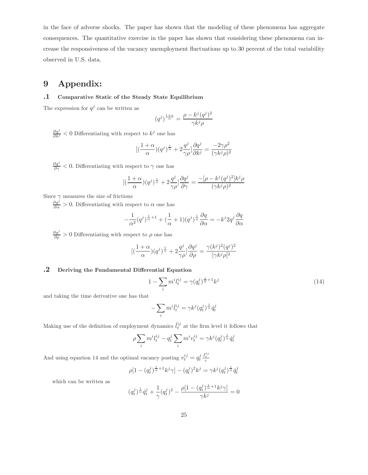in the face of adverse shocks. The paper has shown that the modeling of these phenomena has aggregate consequences. The quantitative exercise in the paper has shown that considering these phenomena can increase the responsiveness of the vacancy unemployment fluctuations up to 30 percent of the total variability observed in U.S. data.

# 9 Appendix:

#### .1 Comparative Static of the Steady State Equilibrium

The expression for  $q^j$  can be written as

$$
(q^j)^{\frac{1+\alpha}{\alpha}} = \frac{\rho - k^j (q^j)^2}{\gamma k^j \rho}
$$

 $\frac{\partial q^j}{\partial k^j}$  < 0 Differentiating with respect to  $k^j$  one has

$$
[(\frac{1+\alpha}{\alpha})(q^j)^{\frac{1}{\alpha}} + 2\frac{q^j}{\gamma\rho}]\frac{\partial q^j}{\partial k^j} = \frac{-2\gamma\rho^2}{(\gamma k^j\rho)^2}
$$

 $\frac{\partial q^j}{\partial \gamma}$  < 0. Differentiating with respect to  $\gamma$  one has

$$
[(\frac{1+\alpha}{\alpha})(q^j)^{\frac{1}{\alpha}} + 2\frac{q^j}{\gamma \rho}]\frac{\partial q^j}{\partial \gamma} = \frac{-[\rho - k^j(q^j)^2]k^j\rho}{(\gamma k^j\rho)^2}
$$

Since  $\gamma$  measures the size of frictions

 $\frac{\partial q^j}{\partial \alpha} > 0$ . Differentiating with respect to  $\alpha$  one has

$$
-\frac{1}{\alpha^2}(q^j)^{\frac{1}{\alpha}+1} + (\frac{1}{\alpha}+1)(q^j)^{\frac{1}{\alpha}}\frac{\partial q}{\partial \alpha} = -k^j 2q^j \frac{\partial q}{\partial \alpha}
$$

 $\frac{\partial q^j}{\partial \rho} > 0$  Differentiating with respect to  $\rho$  one has

$$
[(\frac{1+\alpha}{\alpha})(q^j)^{\frac{1}{\alpha}} + 2\frac{q^j}{\gamma \rho}]\frac{\partial q^j}{\partial \rho} = \frac{\gamma(k^j)^2(q^j)^2}{[\gamma k^j \rho]^2}
$$

#### .2 Deriving the Fundamental Differential Equation

$$
1 - \sum_{i} m^{i} l_{t}^{ij} = \gamma (q_{t}^{j})^{\frac{1}{\alpha} + 1} k^{j}
$$
\n(14)

and taking the time derivative one has that

$$
-\sum_i m^i \dot{l}^{ij}_t = \gamma k^j (q^j_t)^{\frac{1}{\alpha}} \dot{q}^j_t
$$

Making use of the definition of employment dynamics  $\ddot{t}^{ij}_t$  at the firm level it follows that

$$
\rho \sum_{i} m^i l_t^{ij} - q_t^j \sum_i m^i v_t^{ij} = \gamma k^j (q_t^j)^{\frac{1}{\alpha}} \dot{q}_t^j
$$

And using equation 14 and the optimal vacancy posting  $v_t^{ij} = q_t^j \frac{J_t^{ij}}{c}$ 

$$
\rho[1 - (q_t^j)^{\frac{1}{\alpha} + 1} k^j \gamma] - (q_t^j)^2 k^j = \gamma k^j (q_t^j)^{\frac{1}{\alpha}} \dot{q}_t^j
$$

which can be written as

$$
(q_t^j)^{\frac{1}{\alpha}} \dot{q}_t^j + \frac{1}{\gamma} (q_t^j)^2 - \frac{\rho [1 - (q_t^j)^{\frac{1}{\alpha} + 1} k^j \gamma]}{\gamma k^j} = 0
$$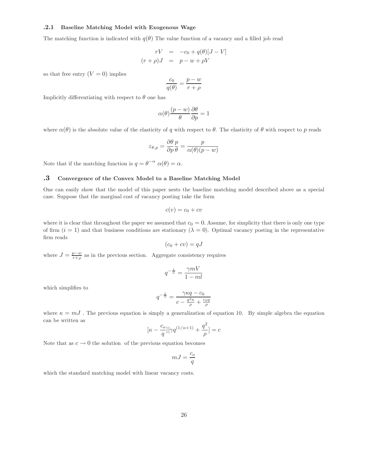#### .2.1 Baseline Matching Model with Exogenous Wage

The matching function is indicated with  $q(\theta)$  The value function of a vacancy and a filled job read

$$
rV = -c_0 + q(\theta)[J - V]
$$

$$
(r + \rho)J = p - w + \rho V
$$

so that free entry  $(V = 0)$  implies

$$
\frac{c_0}{q(\theta)} = \frac{p - w}{r + \rho}
$$

Implicitly differentiating with respect to  $\theta$  one has

$$
\alpha(\theta) \frac{(p-w)}{\theta} \frac{\partial \theta}{\partial p} = 1
$$

where  $\alpha(\theta)$  is the absolute value of the elasticity of q with respect to  $\theta$ . The elasticity of  $\theta$  with respect to p reads

$$
\varepsilon_{\theta,p} = \frac{\partial \theta}{\partial p} \frac{p}{\theta} = \frac{p}{\alpha(\theta)(p-w)}
$$

Note that if the matching function is  $q = \theta^{-\alpha} \alpha(\theta) = \alpha$ .

#### .3 Convergence of the Convex Model to a Baseline Matching Model

One can easily show that the model of this paper nests the baseline matching model described above as a special case. Suppose that the marginal cost of vacancy posting take the form

$$
c(v) = c_0 + cv
$$

where it is clear that throughout the paper we assumed that  $c_0 = 0$ . Assume, for simplicity that there is only one type of firm  $(i = 1)$  and that business conditions are stationary  $(\lambda = 0)$ . Optimal vacancy posting in the representative firm reads

$$
(c_0 + cv) = qJ
$$

where  $J = \frac{p-w}{r+\rho}$  as in the previous section. Aggregate consistency requires

$$
q^{-\frac{1}{\alpha}} = \frac{\gamma mV}{1 - ml}
$$

which simplifies to

$$
q^{-\frac{1}{\alpha}} = \frac{\gamma \kappa q - c_0}{c - \frac{q^2 \kappa}{\rho} + \frac{c_0 q}{\rho}}
$$

where  $\kappa = mJ$ . The previous equation is simply a generalization of equation 10. By simple algebra the equation can be written as

$$
[\kappa-\frac{c_o}{q}][\gamma q^{(1/\alpha+1)}+\frac{q^2}{\rho}]=c
$$

Note that as  $c \to 0$  the solution of the previous equation becomes

$$
mJ = \frac{c_o}{q}
$$

which the standard matching model with linear vacancy costs.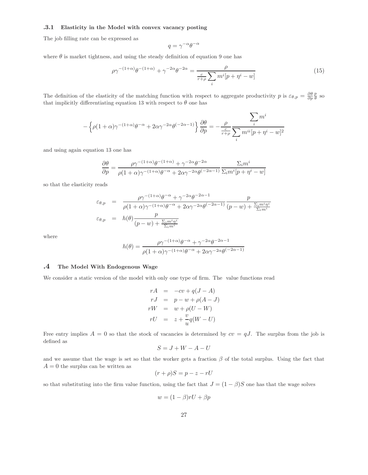#### .3.1 Elasticity in the Model with convex vacancy posting

The job filling rate can be expressed as

$$
q = \gamma^{-\alpha} \theta^{-\alpha}
$$

where  $\theta$  is market tightness, and using the steady definition of equation 9 one has

$$
\rho \gamma^{-(1+\alpha)} \theta^{-(1+\alpha)} + \gamma^{-2\alpha} \theta^{-2\alpha} = \frac{\rho}{\frac{c}{r+\rho} \sum_{i} m^i [p + \eta^i - w]}
$$
(15)

The definition of the elasticity of the matching function with respect to aggregate productivity p is  $\varepsilon_{\theta,p} = \frac{\partial \theta}{\partial p} \frac{p}{\theta}$  so that implicitly differentiating equation 13 with respect to  $\theta$  one has

$$
-\left\{\rho(1+\alpha)\gamma^{-(1+\alpha)}\theta^{-\alpha}+2\alpha\gamma^{-2\alpha}\theta^{(-2\alpha-1)}\right\}\frac{\partial\theta}{\partial p}=-\frac{\rho}{\frac{c}{r+\rho}}\frac{\displaystyle\sum_{i}m^{i}}{\displaystyle\sum_{i}m^{ii}[p+\eta^{i}-w]^{2}}
$$

and using again equation 13 one has

$$
\frac{\partial \theta}{\partial p} = \frac{\rho \gamma^{-(1+\alpha)} \theta^{-(1+\alpha)} + \gamma^{-2\alpha} \theta^{-2\alpha}}{\rho (1+\alpha) \gamma^{-(1+\alpha)} \theta^{-\alpha} + 2\alpha \gamma^{-2\alpha} \theta^{(-2\alpha-1)}} \frac{\Sigma_i m^i}{\Sigma_i m^i [p + \eta^i - w]}
$$

so that the elasticity reads

$$
\varepsilon_{\theta,p} = \frac{\rho \gamma^{-(1+\alpha)} \theta^{-\alpha} + \gamma^{-2\alpha} \theta^{-2\alpha-1}}{\rho(1+\alpha)\gamma^{-(1+\alpha)} \theta^{-\alpha} + 2\alpha \gamma^{-2\alpha} \theta^{(-2\alpha-1)}} \frac{p}{(p-w) + \frac{\Sigma_i m^i \eta^i}{\Sigma_i m^i}}
$$
  

$$
\varepsilon_{\theta,p} = h(\theta) \frac{p}{(p-w) + \frac{\Sigma_i m^i \eta^i}{\Sigma_i m^i}}
$$

where

$$
h(\theta) = \frac{\rho \gamma^{-(1+\alpha)} \theta^{-\alpha} + \gamma^{-2\alpha} \theta^{-2\alpha - 1}}{\rho(1+\alpha)\gamma^{-(1+\alpha)} \theta^{-\alpha} + 2\alpha \gamma^{-2\alpha} \theta^{(-2\alpha - 1)}}
$$

#### .4 The Model With Endogenous Wage

We consider a static version of the model with only one type of firm. The value functions read

$$
rA = -cv + q(J - A)
$$
  
\n
$$
rJ = p - w + \rho(A - J)
$$
  
\n
$$
rW = w + \rho(U - W)
$$
  
\n
$$
rU = z + \frac{v}{u}q(W - U)
$$

Free entry implies  $A = 0$  so that the stock of vacancies is determined by  $cv = qJ$ . The surplus from the job is defined as

$$
S = J + W - A - U
$$

and we assume that the wage is set so that the worker gets a fraction  $\beta$  of the total surplus. Using the fact that  $A = 0$  the surplus can be written as

$$
(r+\rho)S = p - z - rU
$$

so that substituting into the firm value function, using the fact that  $J = (1 - \beta)S$  one has that the wage solves

$$
w=(1-\beta)rU+\beta p
$$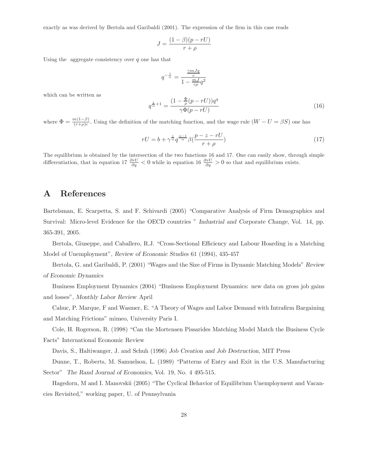exactly as was derived by Bertola and Garibaldi (2001). The expression of the firm in this case reads

$$
J = \frac{(1 - \beta)(p - rU)}{r + \rho}
$$

Using the aggregate consistency over  $q$  one has that

$$
q^{-\frac{1}{\alpha}} = \frac{\frac{\gamma m J q}{c}}{1 - \frac{m J}{c \rho} q^2}
$$

which can be written as

$$
q^{\frac{1}{\alpha}+1} = \frac{(1 - \frac{\Phi}{\rho}(p - rU))q^q}{\gamma \Phi(p - rU)}\tag{16}
$$

where  $\Phi = \frac{m(1-\beta)}{(r+\rho)c}$ . Using the definition of the matching function, and the wage rule  $(W-U = \beta S)$  one has

$$
rU = b + \gamma^{\frac{1}{\alpha}} q^{\frac{\alpha - 1}{\alpha}} \beta(\frac{p - z - rU}{r + \rho})
$$
\n(17)

The equilibrium is obtained by the intersection of the two functions 16 and 17. One can easily show, through simple differentiation, that in equation 17  $\frac{\partial rU}{\partial q} < 0$  while in equation 16  $\frac{\partial rU}{\partial q} > 0$  so that and equilibrium exists.

## A References

Bartelsman, E. Scarpetta, S. and F. Schivardi (2005) "Comparative Analysis of Firm Demographics and Survival: Micro-level Evidence for the OECD countries " Industrial and Corporate Change, Vol. 14, pp. 365-391, 2005.

Bertola, Giuseppe, and Caballero, R.J. "Cross-Sectional Efficiency and Labour Hoarding in a Matching Model of Unemployment", Review of Economic Studies 61 (1994), 435-457

Bertola, G. and Garibaldi, P. (2001) "Wages and the Size of Firms in Dynamic Matching Models" Review of Economic Dynamics

Business Employment Dynamics (2004) "Business Employment Dynamics: new data on gross job gains and losses", Monthly Labor Review April

Cahuc, P. Marque, F and Wasmer, E. "A Theory of Wages and Labor Demand with Intrafirm Bargaining and Matching Frictions" mimeo, University Paris I.

Cole, H. Rogerson, R. (1998) "Can the Mortensen Pissarides Matching Model Match the Business Cycle Facts" International Economic Review

Davis, S., Haltiwanger, J. and Schuh (1996) Job Creation and Job Destruction, MIT Press

Dunne, T., Roberts, M. Samuelson, L. (1989) "Patterns of Entry and Exit in the U.S. Manufacturing Sector" The Rand Journal of Economics, Vol. 19, No. 4 495-515.

Hagedorn, M and I. Manovskii (2005) "The Cyclical Behavior of Equilibrium Unemployment and Vacancies Revisited," working paper, U. of Pennsylvania